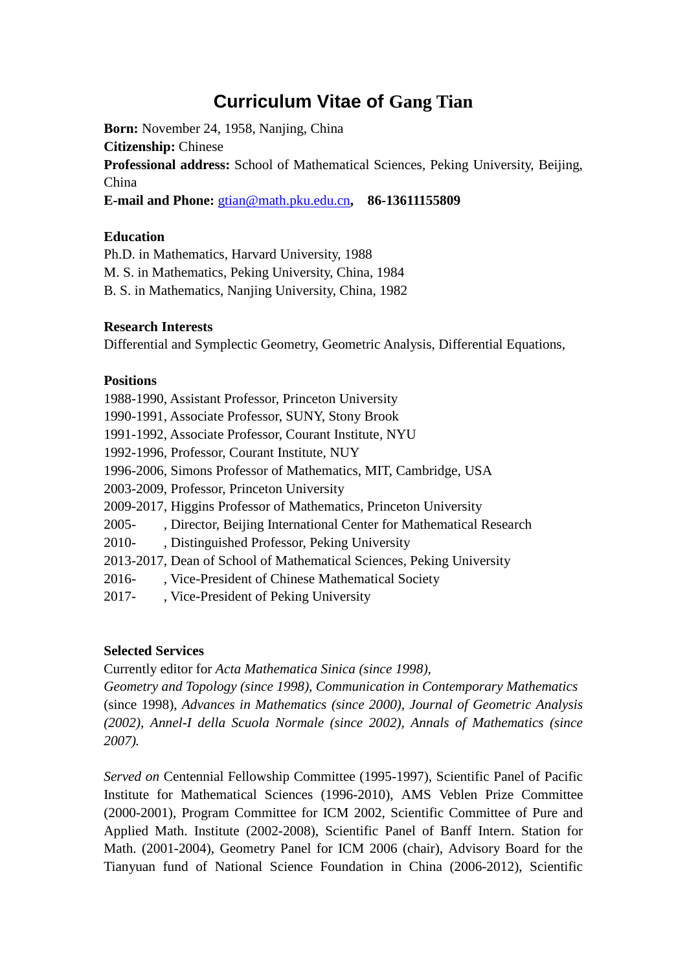# **Curriculum Vitae of Gang Tian**

**Born:** November 24, 1958, Nanjing, China **Citizenship:** Chinese **Professional address:** School of Mathematical Sciences, Peking University, Beijing, China **E-mail and Phone:** [gtian@math.pku.edu.cn](mailto:gtian@math.pku.edu.cn)**, 86-13611155809**

# **Education**

Ph.D. in Mathematics, Harvard University, 1988

M. S. in Mathematics, Peking University, China, 1984

B. S. in Mathematics, Nanjing University, China, 1982

#### **Research Interests**

Differential and Symplectic Geometry, Geometric Analysis, Differential Equations,

#### **Positions**

1988-1990, Assistant Professor, Princeton University 1990-1991, Associate Professor, SUNY, Stony Brook 1991-1992, Associate Professor, Courant Institute, NYU 1992-1996, Professor, Courant Institute, NUY 1996-2006, Simons Professor of Mathematics, MIT, Cambridge, USA 2003-2009, Professor, Princeton University 2009-2017, Higgins Professor of Mathematics, Princeton University 2005- , Director, Beijing International Center for Mathematical Research 2010- , Distinguished Professor, Peking University 2013-2017, Dean of School of Mathematical Sciences, Peking University 2016- , Vice-President of Chinese Mathematical Society 2017- , Vice-President of Peking University

# **Selected Services**

Currently editor for *Acta Mathematica Sinica (since 1998),* 

*Geometry and Topology (since 1998), Communication in Contemporary Mathematics* (since 1998), *Advances in Mathematics (since 2000), Journal of Geometric Analysis (2002), Annel-I della Scuola Normale (since 2002), Annals of Mathematics (since 2007).*

*Served on* Centennial Fellowship Committee (1995-1997), Scientific Panel of Pacific Institute for Mathematical Sciences (1996-2010), AMS Veblen Prize Committee (2000-2001), Program Committee for ICM 2002, Scientific Committee of Pure and Applied Math. Institute (2002-2008), Scientific Panel of Banff Intern. Station for Math. (2001-2004), Geometry Panel for ICM 2006 (chair), Advisory Board for the Tianyuan fund of National Science Foundation in China (2006-2012), Scientific